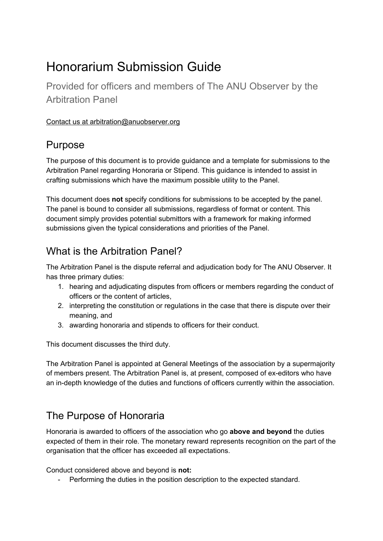# Honorarium Submission Guide

Provided for officers and members of The ANU Observer by the Arbitration Panel

#### Contact us at arbitration@anuobserver.org

### Purpose

The purpose of this document is to provide guidance and a template for submissions to the Arbitration Panel regarding Honoraria or Stipend. This guidance is intended to assist in crafting submissions which have the maximum possible utility to the Panel.

This document does **not** specify conditions for submissions to be accepted by the panel. The panel is bound to consider all submissions, regardless of format or content. This document simply provides potential submittors with a framework for making informed submissions given the typical considerations and priorities of the Panel.

### What is the Arbitration Panel?

The Arbitration Panel is the dispute referral and adjudication body for The ANU Observer. It has three primary duties:

- 1. hearing and adjudicating disputes from officers or members regarding the conduct of officers or the content of articles,
- 2. interpreting the constitution or regulations in the case that there is dispute over their meaning, and
- 3. awarding honoraria and stipends to officers for their conduct.

This document discusses the third duty.

The Arbitration Panel is appointed at General Meetings of the association by a supermajority of members present. The Arbitration Panel is, at present, composed of ex-editors who have an in-depth knowledge of the duties and functions of officers currently within the association.

### The Purpose of Honoraria

Honoraria is awarded to officers of the association who go **above and beyond** the duties expected of them in their role. The monetary reward represents recognition on the part of the organisation that the officer has exceeded all expectations.

Conduct considered above and beyond is **not:**

- Performing the duties in the position description to the expected standard.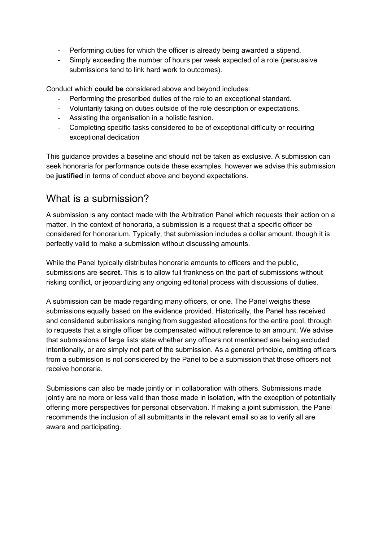- Performing duties for which the officer is already being awarded a stipend.
- Simply exceeding the number of hours per week expected of a role (persuasive submissions tend to link hard work to outcomes).

Conduct which **could be** considered above and beyond includes:

- Performing the prescribed duties of the role to an exceptional standard.
- Voluntarily taking on duties outside of the role description or expectations.
- Assisting the organisation in a holistic fashion.
- Completing specific tasks considered to be of exceptional difficulty or requiring exceptional dedication

This guidance provides a baseline and should not be taken as exclusive. A submission can seek honoraria for performance outside these examples, however we advise this submission be **justified** in terms of conduct above and beyond expectations.

#### What is a submission?

A submission is any contact made with the Arbitration Panel which requests their action on a matter. In the context of honoraria, a submission is a request that a specific officer be considered for honorarium. Typically, that submission includes a dollar amount, though it is perfectly valid to make a submission without discussing amounts.

While the Panel typically distributes honoraria amounts to officers and the public, submissions are **secret.** This is to allow full frankness on the part of submissions without risking conflict, or jeopardizing any ongoing editorial process with discussions of duties.

A submission can be made regarding many officers, or one. The Panel weighs these submissions equally based on the evidence provided. Historically, the Panel has received and considered submissions ranging from suggested allocations for the entire pool, through to requests that a single officer be compensated without reference to an amount. We advise that submissions of large lists state whether any officers not mentioned are being excluded intentionally, or are simply not part of the submission. As a general principle, omitting officers from a submission is not considered by the Panel to be a submission that those officers not receive honoraria.

Submissions can also be made jointly or in collaboration with others. Submissions made jointly are no more or less valid than those made in isolation, with the exception of potentially offering more perspectives for personal observation. If making a joint submission, the Panel recommends the inclusion of all submittants in the relevant email so as to verify all are aware and participating.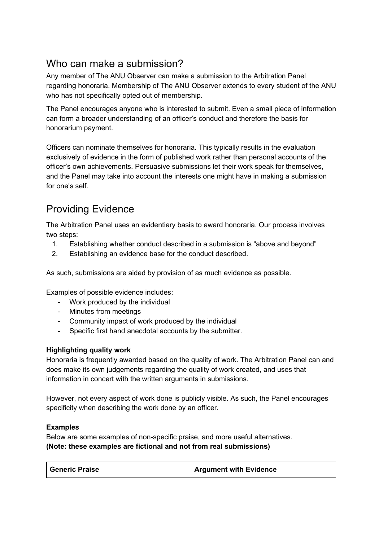### Who can make a submission?

Any member of The ANU Observer can make a submission to the Arbitration Panel regarding honoraria. Membership of The ANU Observer extends to every student of the ANU who has not specifically opted out of membership.

The Panel encourages anyone who is interested to submit. Even a small piece of information can form a broader understanding of an officer's conduct and therefore the basis for honorarium payment.

Officers can nominate themselves for honoraria. This typically results in the evaluation exclusively of evidence in the form of published work rather than personal accounts of the officer's own achievements. Persuasive submissions let their work speak for themselves, and the Panel may take into account the interests one might have in making a submission for one's self.

## Providing Evidence

The Arbitration Panel uses an evidentiary basis to award honoraria. Our process involves two steps:

- 1. Establishing whether conduct described in a submission is "above and beyond"
- 2. Establishing an evidence base for the conduct described.

As such, submissions are aided by provision of as much evidence as possible.

Examples of possible evidence includes:

- Work produced by the individual
- Minutes from meetings
- Community impact of work produced by the individual
- Specific first hand anecdotal accounts by the submitter.

#### **Highlighting quality work**

Honoraria is frequently awarded based on the quality of work. The Arbitration Panel can and does make its own judgements regarding the quality of work created, and uses that information in concert with the written arguments in submissions.

However, not every aspect of work done is publicly visible. As such, the Panel encourages specificity when describing the work done by an officer.

#### **Examples**

Below are some examples of non-specific praise, and more useful alternatives. **(Note: these examples are fictional and not from real submissions)**

| <b>Argument with Evidence</b><br><b>Generic Praise</b> |  |
|--------------------------------------------------------|--|
|--------------------------------------------------------|--|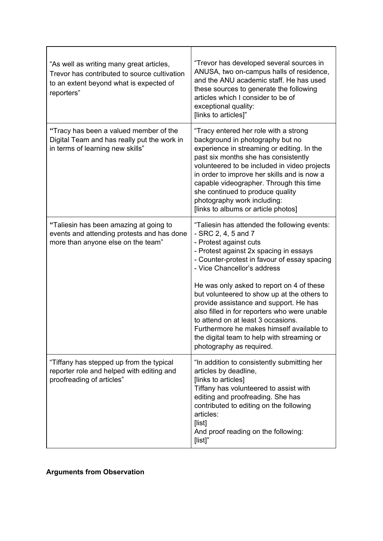| "As well as writing many great articles,<br>Trevor has contributed to source cultivation<br>to an extent beyond what is expected of<br>reporters" | "Trevor has developed several sources in<br>ANUSA, two on-campus halls of residence,<br>and the ANU academic staff. He has used<br>these sources to generate the following<br>articles which I consider to be of<br>exceptional quality:<br>[links to articles]"                                                                                                                                                                                                                                                                                                            |
|---------------------------------------------------------------------------------------------------------------------------------------------------|-----------------------------------------------------------------------------------------------------------------------------------------------------------------------------------------------------------------------------------------------------------------------------------------------------------------------------------------------------------------------------------------------------------------------------------------------------------------------------------------------------------------------------------------------------------------------------|
| "Tracy has been a valued member of the<br>Digital Team and has really put the work in<br>in terms of learning new skills"                         | "Tracy entered her role with a strong<br>background in photography but no<br>experience in streaming or editing. In the<br>past six months she has consistently<br>volunteered to be included in video projects<br>in order to improve her skills and is now a<br>capable videographer. Through this time<br>she continued to produce quality<br>photography work including:<br>[links to albums or article photos]                                                                                                                                                         |
| "Taliesin has been amazing at going to<br>events and attending protests and has done<br>more than anyone else on the team"                        | "Taliesin has attended the following events:<br>$-$ SRC 2, 4, 5 and 7<br>- Protest against cuts<br>- Protest against 2x spacing in essays<br>- Counter-protest in favour of essay spacing<br>- Vice Chancellor's address<br>He was only asked to report on 4 of these<br>but volunteered to show up at the others to<br>provide assistance and support. He has<br>also filled in for reporters who were unable<br>to attend on at least 3 occasions.<br>Furthermore he makes himself available to<br>the digital team to help with streaming or<br>photography as required. |
| "Tiffany has stepped up from the typical<br>reporter role and helped with editing and<br>proofreading of articles"                                | "In addition to consistently submitting her<br>articles by deadline,<br>[links to articles]<br>Tiffany has volunteered to assist with<br>editing and proofreading. She has<br>contributed to editing on the following<br>articles:<br>[list]<br>And proof reading on the following:<br>[list]"                                                                                                                                                                                                                                                                              |

**Arguments from Observation**